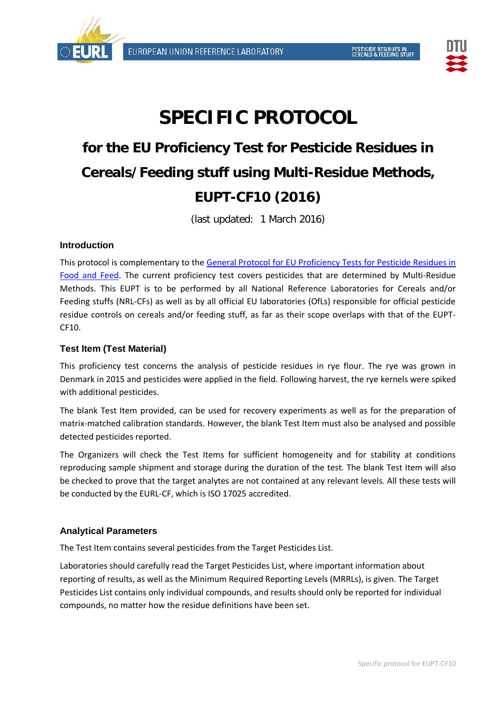



# **SPECIFIC PROTOCOL**

## **for the EU Proficiency Test for Pesticide Residues in Cereals/Feeding stuff using Multi-Residue Methods, EUPT-CF10 (2016)**

(last updated: 1 March 2016)

## **Introduction**

This protocol is complementary to the [General Protocol for EU Proficiency Tests for Pesticide Residues in](http://www.eurl-pesticides.eu/docs/public/tmplt_article.asp?CntID=821&LabID=100&Lang=EN)  [Food and Feed.](http://www.eurl-pesticides.eu/docs/public/tmplt_article.asp?CntID=821&LabID=100&Lang=EN) The current proficiency test covers pesticides that are determined by Multi-Residue Methods. This EUPT is to be performed by all National Reference Laboratories for Cereals and/or Feeding stuffs (NRL-CFs) as well as by all official EU laboratories (OfLs) responsible for official pesticide residue controls on cereals and/or feeding stuff, as far as their scope overlaps with that of the EUPT-CF10.

## **Test Item (Test Material)**

This proficiency test concerns the analysis of pesticide residues in rye flour. The rye was grown in Denmark in 2015 and pesticides were applied in the field. Following harvest, the rye kernels were spiked with additional pesticides.

The blank Test Item provided, can be used for recovery experiments as well as for the preparation of matrix-matched calibration standards. However, the blank Test Item must also be analysed and possible detected pesticides reported.

The Organizers will check the Test Items for sufficient homogeneity and for stability at conditions reproducing sample shipment and storage during the duration of the test. The blank Test Item will also be checked to prove that the target analytes are not contained at any relevant levels. All these tests will be conducted by the EURL-CF, which is ISO 17025 accredited.

## **Analytical Parameters**

The Test Item contains several pesticides from the [Target Pesticides List.](http://www.crl-pesticides.eu/library/docs/cf/EUPT_C5_SRM6_Target.pdf)

Laboratories should carefully read the Target Pesticides List, where important information about reporting of results, as well as the Minimum Required Reporting Levels (MRRLs), is given. The Target Pesticides List contains only individual compounds, and results should only be reported for individual compounds, no matter how the residue definitions have been set.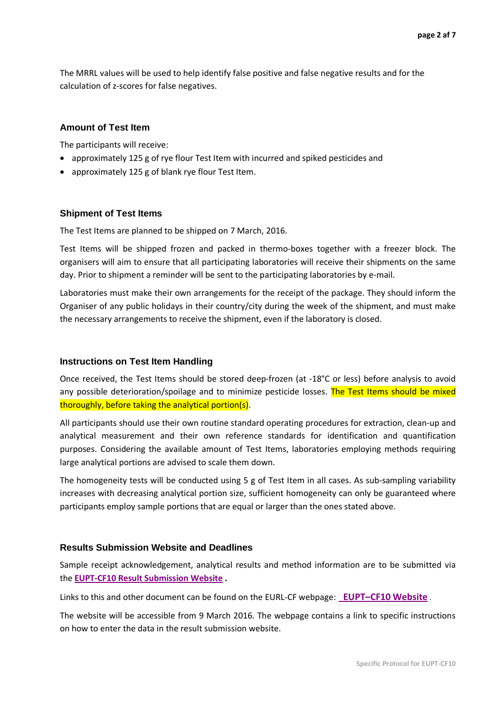The MRRL values will be used to help identify false positive and false negative results and for the calculation of z-scores for false negatives.

#### **Amount of Test Item**

The participants will receive:

- approximately 125 g of rye flour Test Item with incurred and spiked pesticides and
- approximately 125 g of blank rye flour Test Item.

#### **Shipment of Test Items**

The Test Items are planned to be shipped on 7 March, 2016.

Test Items will be shipped frozen and packed in thermo-boxes together with a freezer block. The organisers will aim to ensure that all participating laboratories will receive their shipments on the same day. Prior to shipment a reminder will be sent to the participating laboratories by e-mail.

Laboratories must make their own arrangements for the receipt of the package. They should inform the Organiser of any public holidays in their country/city during the week of the shipment, and must make the necessary arrangements to receive the shipment, even if the laboratory is closed.

#### **Instructions on Test Item Handling**

Once received, the Test Items should be stored deep-frozen (at -18°C or less) before analysis to avoid any possible deterioration/spoilage and to minimize pesticide losses. The Test Items should be mixed thoroughly, before taking the analytical portion(s).

All participants should use their own routine standard operating procedures for extraction, clean-up and analytical measurement and their own reference standards for identification and quantification purposes. Considering the available amount of Test Items, laboratories employing methods requiring large analytical portions are advised to scale them down.

The homogeneity tests will be conducted using 5 g of Test Item in all cases. As sub-sampling variability increases with decreasing analytical portion size, sufficient homogeneity can only be guaranteed where participants employ sample portions that are equal or larger than the ones stated above.

#### **Results Submission Website and Deadlines**

Sample receipt acknowledgement, analytical results and method information are to be submitted via the **EUPT-CF10 [Result Submission Website](http://pesticides.food.dtu.dk/cf) .**

Links to this and other document can be found on the EURL-CF webpage: **[EUPT–CF10](http://www.crl-pesticides.eu/docs/public/tmplt_article.asp?LabID=400&CntID=991&Theme_ID=1&Pdf=False&Lang=EN) Website** .

The website will be accessible from 9 March 2016. The webpage contains a link to specific instructions on how to enter the data in the result submission website.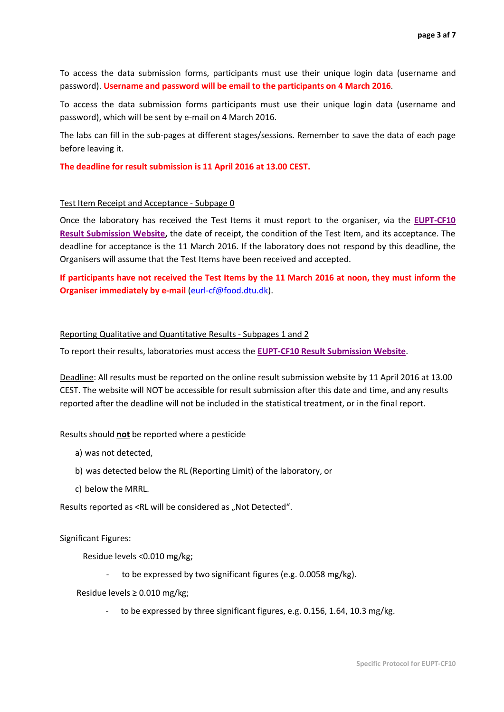To access the data submission forms, participants must use their unique login data (username and password). **Username and password will be email to the participants on 4 March 2016**.

To access the data submission forms participants must use their unique login data (username and password), which will be sent by e-mail on 4 March 2016.

The labs can fill in the sub-pages at different stages/sessions. Remember to save the data of each page before leaving it.

**The deadline for result submission is 11 April 2016 at 13.00 CEST.**

#### Test Item Receipt and Acceptance - Subpage 0

Once the laboratory has received the Test Items it must report to the organiser, via the **[EUPT-CF10](http://pesticides.food.dtu.dk/cf) [Result Submission Website,](http://pesticides.food.dtu.dk/cf)** the date of receipt, the condition of the Test Item, and its acceptance. The deadline for acceptance is the 11 March 2016. If the laboratory does not respond by this deadline, the Organisers will assume that the Test Items have been received and accepted.

**If participants have not received the Test Items by the 11 March 2016 at noon, they must inform the Organiser immediately by e-mail** [\(eurl-cf@food.dtu.dk\)](mailto:eurl-cf@food.dtu.dk).

#### Reporting Qualitative and Quantitative Results - Subpages 1 and 2

To report their results, laboratories must access the **EUPT-CF10 [Result Submission Website](http://pesticides.food.dtu.dk/cf)**.

Deadline: All results must be reported on the online result submission website by 11 April 2016 at 13.00 CEST. The website will NOT be accessible for result submission after this date and time, and any results reported after the deadline will not be included in the statistical treatment, or in the final report.

#### Results should **not** be reported where a pesticide

- a) was not detected,
- b) was detected below the RL (Reporting Limit) of the laboratory, or
- c) below the MRRL.

Results reported as <RL will be considered as "Not Detected".

Significant Figures:

Residue levels <0.010 mg/kg;

to be expressed by two significant figures (e.g. 0.0058 mg/kg).

Residue levels ≥ 0.010 mg/kg;

to be expressed by three significant figures, e.g. 0.156, 1.64, 10.3 mg/kg.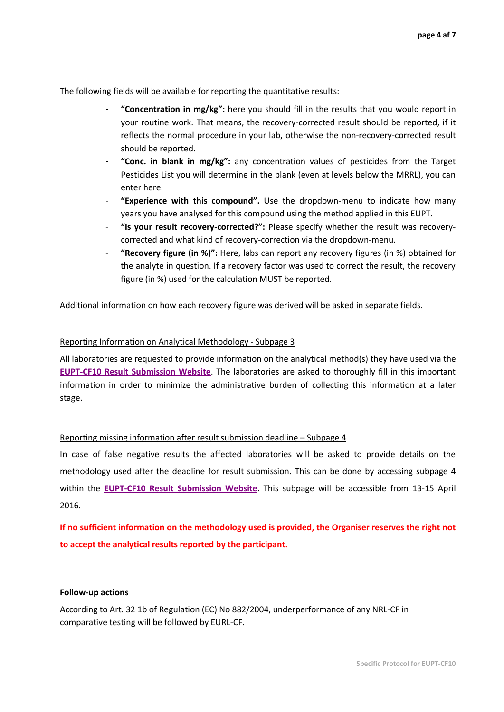The following fields will be available for reporting the quantitative results:

- **"Concentration in mg/kg":** here you should fill in the results that you would report in your routine work. That means, the recovery-corrected result should be reported, if it reflects the normal procedure in your lab, otherwise the non-recovery-corrected result should be reported.
- "Conc. in blank in mg/kg": any concentration values of pesticides from the Target Pesticides List you will determine in the blank (even at levels below the MRRL), you can enter here.
- **"Experience with this compound".** Use the dropdown-menu to indicate how many years you have analysed for this compound using the method applied in this EUPT.
- **"Is your result recovery-corrected?":** Please specify whether the result was recoverycorrected and what kind of recovery-correction via the dropdown-menu.
- **"Recovery figure (in %)":** Here, labs can report any recovery figures (in %) obtained for the analyte in question. If a recovery factor was used to correct the result, the recovery figure (in %) used for the calculation MUST be reported.

Additional information on how each recovery figure was derived will be asked in separate fields.

#### Reporting Information on Analytical Methodology - Subpage 3

All laboratories are requested to provide information on the analytical method(s) they have used via the **EUPT-CF10 [Result Submission Website](http://pesticides.food.dtu.dk/cf)**. The laboratories are asked to thoroughly fill in this important information in order to minimize the administrative burden of collecting this information at a later stage.

#### Reporting missing information after result submission deadline – Subpage 4

In case of false negative results the affected laboratories will be asked to provide details on the methodology used after the deadline for result submission. This can be done by accessing subpage 4 within the **EUPT-CF10 [Result Submission Website](http://pesticides.food.dtu.dk/cf)**. This subpage will be accessible from 13-15 April 2016.

**If no sufficient information on the methodology used is provided, the Organiser reserves the right not to accept the analytical results reported by the participant.**

#### **Follow-up actions**

According to Art. 32 1b of Regulation (EC) No 882/2004, underperformance of any NRL-CF in comparative testing will be followed by EURL-CF.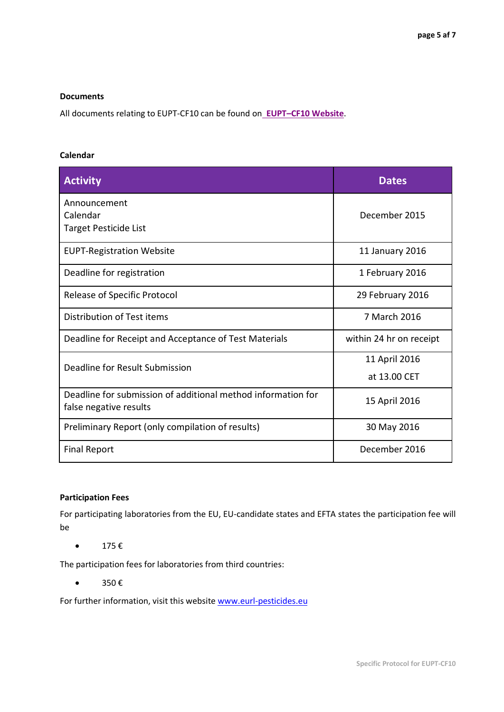#### **Documents**

All documents relating to EUPT-CF10 can be found on **[EUPT–CF10](http://www.crl-pesticides.eu/docs/public/tmplt_article.asp?LabID=400&CntID=991&Theme_ID=1&Pdf=False&Lang=EN) Website**.

#### **Calendar**

| <b>Activity</b>                                                                        | <b>Dates</b>            |
|----------------------------------------------------------------------------------------|-------------------------|
| Announcement<br>Calendar<br>Target Pesticide List                                      | December 2015           |
| <b>EUPT-Registration Website</b>                                                       | 11 January 2016         |
| Deadline for registration                                                              | 1 February 2016         |
| Release of Specific Protocol                                                           | 29 February 2016        |
| Distribution of Test items                                                             | 7 March 2016            |
| Deadline for Receipt and Acceptance of Test Materials                                  | within 24 hr on receipt |
| Deadline for Result Submission                                                         | 11 April 2016           |
|                                                                                        | at 13.00 CET            |
| Deadline for submission of additional method information for<br>false negative results | 15 April 2016           |
| Preliminary Report (only compilation of results)                                       | 30 May 2016             |
| <b>Final Report</b>                                                                    | December 2016           |

## **Participation Fees**

For participating laboratories from the EU, EU-candidate states and EFTA states the participation fee will be

•  $175 \text{ } \in$ 

The participation fees for laboratories from third countries:

•  $350 \text{ } \in$ 

For further information, visit this website [www.eurl-pesticides.eu](http://www.eurl-pesticides.eu/)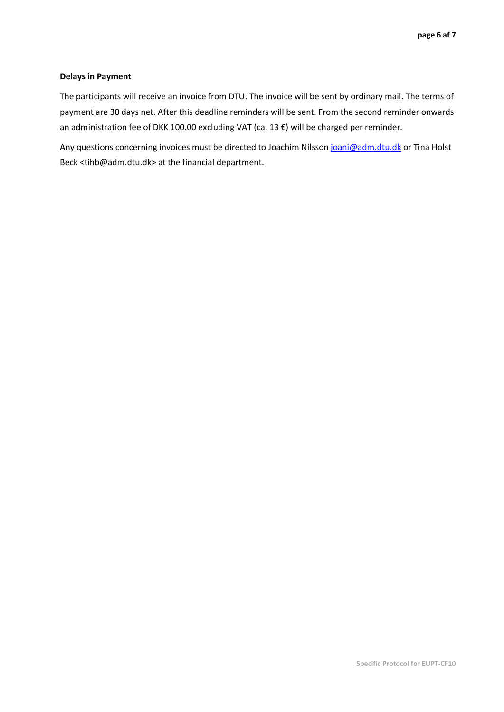#### **Delays in Payment**

The participants will receive an invoice from DTU. The invoice will be sent by ordinary mail. The terms of payment are 30 days net. After this deadline reminders will be sent. From the second reminder onwards an administration fee of DKK 100.00 excluding VAT (ca. 13 €) will be charged per reminder.

Any questions concerning invoices must be directed to Joachim Nilsson [joani@adm.dtu.dk](mailto:joani@adm.dtu.dk) or Tina Holst Beck <tihb@adm.dtu.dk> at the financial department.